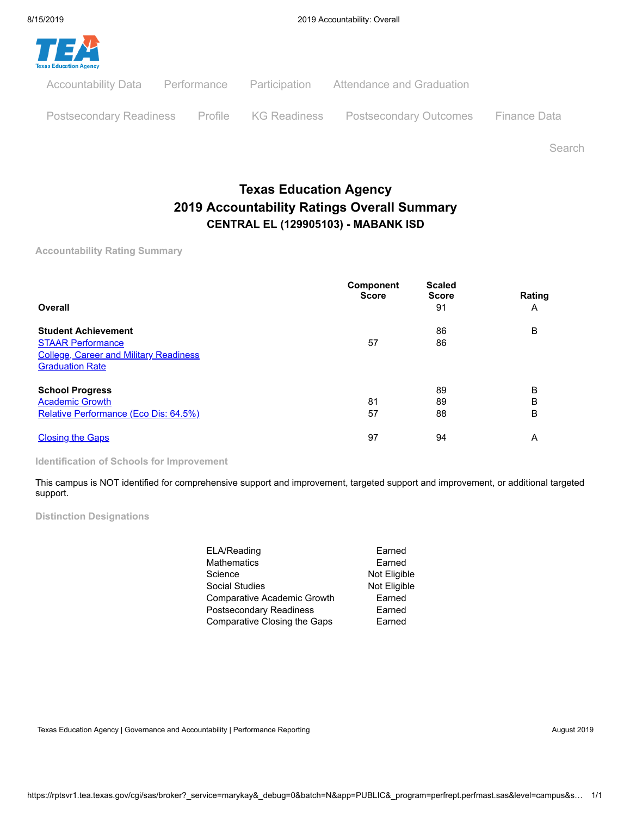

Search

# **Texas Education Agency 2019 Accountability Ratings Overall Summary CENTRAL EL (129905103) - MABANK ISD**

**Accountability Rating Summary**

| Overall                                                                                                                           | <b>Component</b><br><b>Score</b> | <b>Scaled</b><br><b>Score</b><br>91 | Rating<br>A |
|-----------------------------------------------------------------------------------------------------------------------------------|----------------------------------|-------------------------------------|-------------|
| <b>Student Achievement</b><br><b>STAAR Performance</b><br><b>College, Career and Military Readiness</b><br><b>Graduation Rate</b> | 57                               | 86<br>86                            | B           |
| <b>School Progress</b><br><b>Academic Growth</b><br>Relative Performance (Eco Dis: 64.5%)                                         | 81<br>57                         | 89<br>89<br>88                      | B<br>B<br>B |
| <b>Closing the Gaps</b>                                                                                                           | 97                               | 94                                  | Α           |

**Identification of Schools for Improvement**

This campus is NOT identified for comprehensive support and improvement, targeted support and improvement, or additional targeted support.

**Distinction Designations**

| ELA/Reading                  | Earned       |
|------------------------------|--------------|
| Mathematics                  | Earned       |
| Science                      | Not Eligible |
| Social Studies               | Not Eligible |
| Comparative Academic Growth  | Earned       |
| Postsecondary Readiness      | Earned       |
| Comparative Closing the Gaps | Earned       |

Texas Education Agency | Governance and Accountability | Performance Reporting August 2019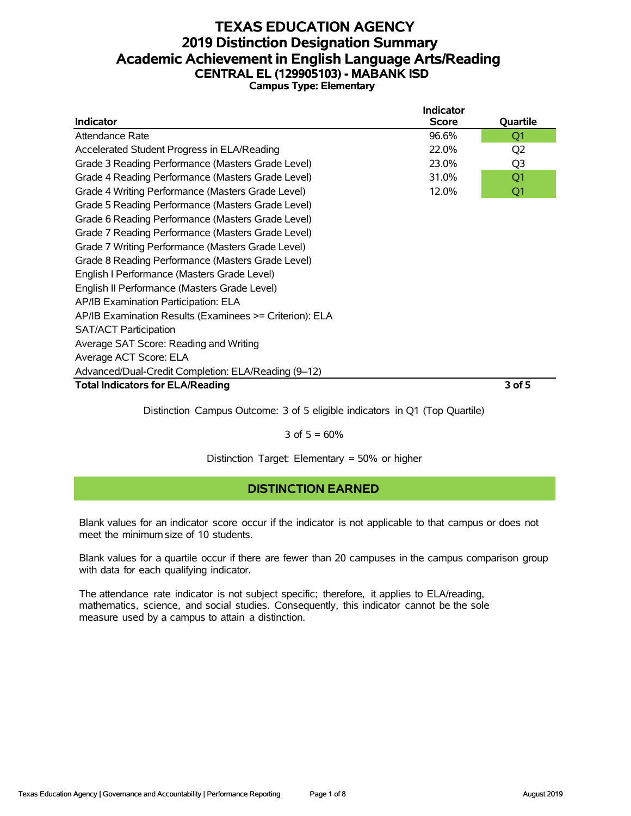#### **TEXAS EDUCATION AGENCY 2019 Distinction Designation Summary Academic Achievement in English Language Arts/Reading CENTRAL EL (129905103) - MABANK ISD Campus Type: Elementary**

| Indicator                                               | <b>Indicator</b><br><b>Score</b> | Quartile       |
|---------------------------------------------------------|----------------------------------|----------------|
|                                                         |                                  |                |
| Attendance Rate                                         | 96.6%                            | Q1             |
| Accelerated Student Progress in ELA/Reading             | 22.0%                            | Q <sub>2</sub> |
| Grade 3 Reading Performance (Masters Grade Level)       | 23.0%                            | Q <sub>3</sub> |
| Grade 4 Reading Performance (Masters Grade Level)       | 31.0%                            | Q1             |
| Grade 4 Writing Performance (Masters Grade Level)       | 12.0%                            | Q1             |
| Grade 5 Reading Performance (Masters Grade Level)       |                                  |                |
| Grade 6 Reading Performance (Masters Grade Level)       |                                  |                |
| Grade 7 Reading Performance (Masters Grade Level)       |                                  |                |
| Grade 7 Writing Performance (Masters Grade Level)       |                                  |                |
| Grade 8 Reading Performance (Masters Grade Level)       |                                  |                |
| English I Performance (Masters Grade Level)             |                                  |                |
| English II Performance (Masters Grade Level)            |                                  |                |
| AP/IB Examination Participation: ELA                    |                                  |                |
| AP/IB Examination Results (Examinees >= Criterion): ELA |                                  |                |
| <b>SAT/ACT Participation</b>                            |                                  |                |
| Average SAT Score: Reading and Writing                  |                                  |                |
| Average ACT Score: ELA                                  |                                  |                |
| Advanced/Dual-Credit Completion: ELA/Reading (9-12)     |                                  |                |
| <b>Total Indicators for ELA/Reading</b>                 |                                  | 3 of 5         |
|                                                         |                                  |                |

Distinction Campus Outcome: 3 of 5 eligible indicators in Q1 (Top Quartile)

3 of  $5 = 60%$ 

Distinction Target: Elementary = 50% or higher

### **DISTINCTION EARNED**

Blank values for an indicator score occur if the indicator is not applicable to that campus or does not meet the minimum size of 10 students.

Blank values for a quartile occur if there are fewer than 20 campuses in the campus comparison group with data for each qualifying indicator.

The attendance rate indicator is not subject specific; therefore, it applies to ELA/reading, mathematics, science, and social studies. Consequently, this indicator cannot be the sole measure used by a campus to attain a distinction.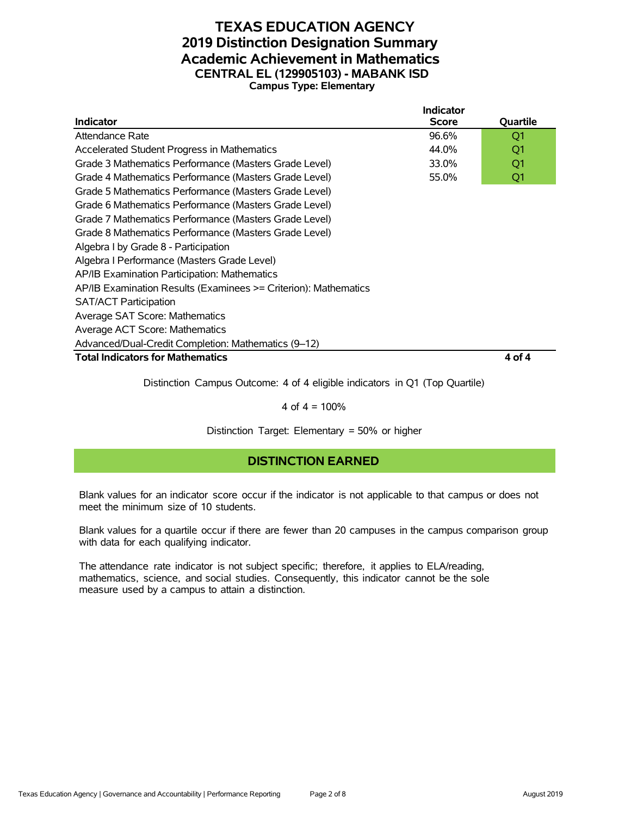#### **TEXAS EDUCATION AGENCY 2019 Distinction Designation Summary Academic Achievement in Mathematics CENTRAL EL (129905103) - MABANK ISD Campus Type: Elementary**

|                                                                 | <b>Indicator</b> |          |
|-----------------------------------------------------------------|------------------|----------|
| <b>Indicator</b>                                                | <b>Score</b>     | Quartile |
| Attendance Rate                                                 | 96.6%            | Q1       |
| Accelerated Student Progress in Mathematics                     | 44.0%            | Q1       |
| Grade 3 Mathematics Performance (Masters Grade Level)           | 33.0%            | Q1       |
| Grade 4 Mathematics Performance (Masters Grade Level)           | 55.0%            | Q1       |
| Grade 5 Mathematics Performance (Masters Grade Level)           |                  |          |
| Grade 6 Mathematics Performance (Masters Grade Level)           |                  |          |
| Grade 7 Mathematics Performance (Masters Grade Level)           |                  |          |
| Grade 8 Mathematics Performance (Masters Grade Level)           |                  |          |
| Algebra I by Grade 8 - Participation                            |                  |          |
| Algebra I Performance (Masters Grade Level)                     |                  |          |
| AP/IB Examination Participation: Mathematics                    |                  |          |
| AP/IB Examination Results (Examinees >= Criterion): Mathematics |                  |          |
| <b>SAT/ACT Participation</b>                                    |                  |          |
| Average SAT Score: Mathematics                                  |                  |          |
| Average ACT Score: Mathematics                                  |                  |          |
| Advanced/Dual-Credit Completion: Mathematics (9-12)             |                  |          |
| <b>Total Indicators for Mathematics</b>                         |                  | 4 of 4   |

Distinction Campus Outcome: 4 of 4 eligible indicators in Q1 (Top Quartile)

#### 4 of  $4 = 100%$

Distinction Target: Elementary = 50% or higher

#### **DISTINCTION EARNED**

Blank values for an indicator score occur if the indicator is not applicable to that campus or does not meet the minimum size of 10 students.

Blank values for a quartile occur if there are fewer than 20 campuses in the campus comparison group with data for each qualifying indicator.

The attendance rate indicator is not subject specific; therefore, it applies to ELA/reading, mathematics, science, and social studies. Consequently, this indicator cannot be the sole measure used by a campus to attain a distinction.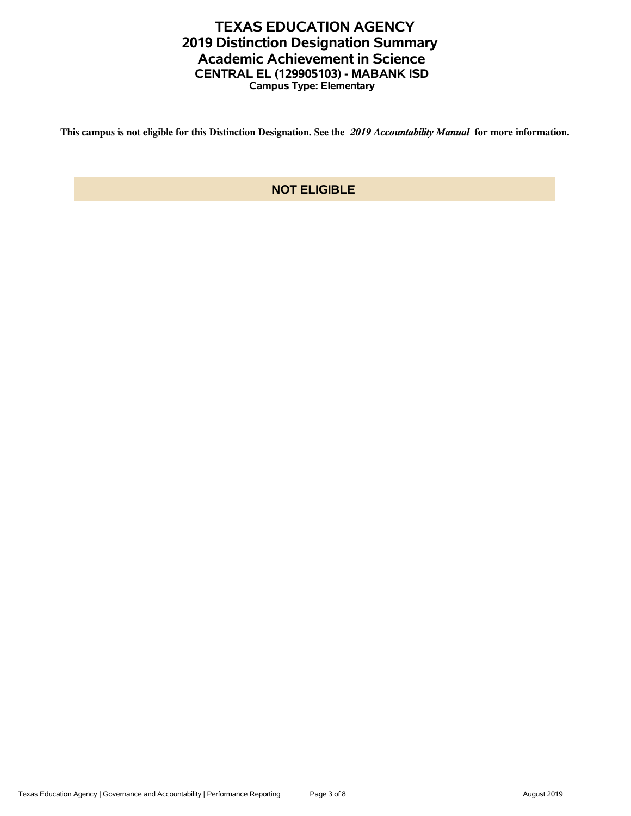## **TEXAS EDUCATION AGENCY 2019 Distinction Designation Summary Academic Achievement in Science CENTRAL EL (129905103) - MABANK ISD Campus Type: Elementary**

**This campus is not eligible for this Distinction Designation. See the** *2019 Accountability Manual* **for more information.**

### **NOT ELIGIBLE**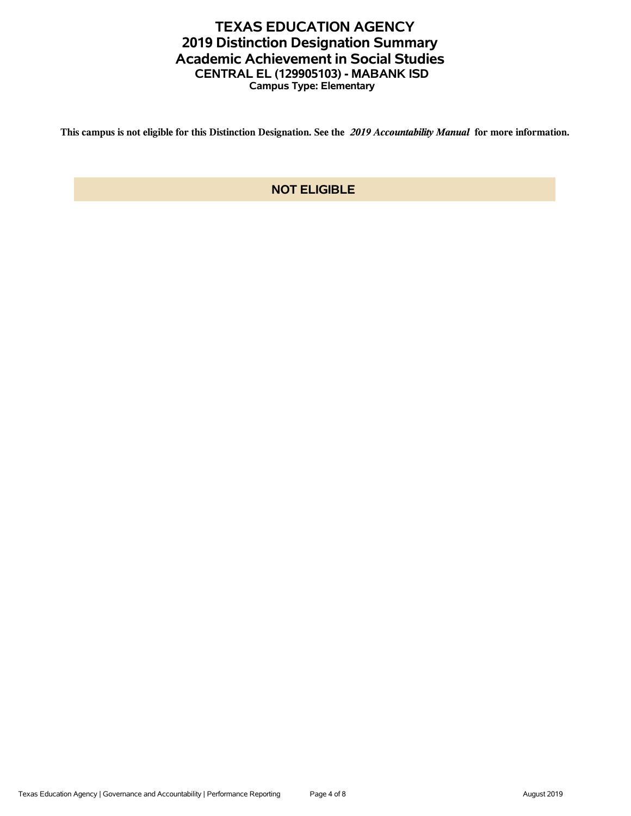## **TEXAS EDUCATION AGENCY 2019 Distinction Designation Summary Academic Achievement in Social Studies CENTRAL EL (129905103) - MABANK ISD Campus Type: Elementary**

**This campus is not eligible for this Distinction Designation. See the** *2019 Accountability Manual* **for more information.**

### **NOT ELIGIBLE**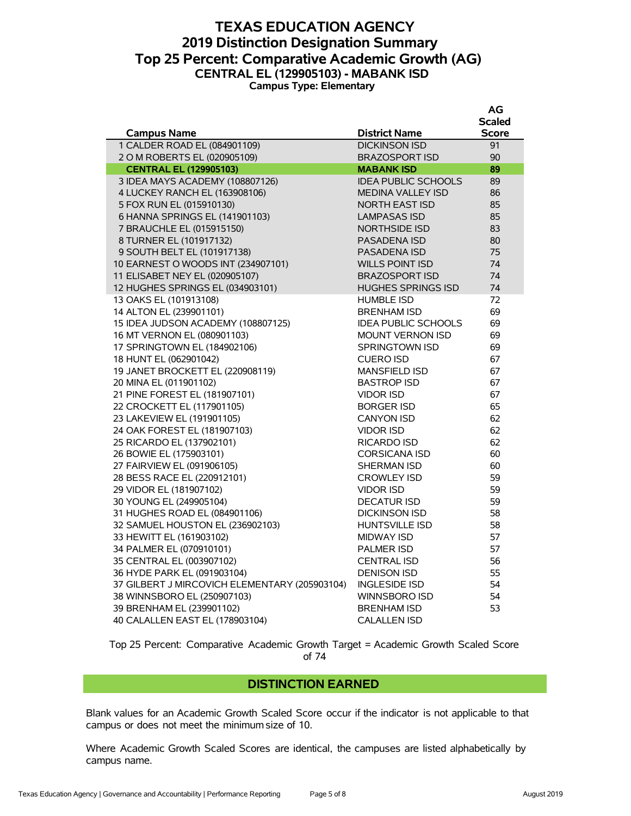#### **TEXAS EDUCATION AGENCY 2019 Distinction Designation Summary Top 25 Percent: Comparative Academic Growth (AG) CENTRAL EL (129905103) - MABANK ISD Campus Type: Elementary**

|                                               |                            | AG            |
|-----------------------------------------------|----------------------------|---------------|
|                                               |                            | <b>Scaled</b> |
| <b>Campus Name</b>                            | <b>District Name</b>       | <b>Score</b>  |
| 1 CALDER ROAD EL (084901109)                  | <b>DICKINSON ISD</b>       | 91            |
| 2 O M ROBERTS EL (020905109)                  | <b>BRAZOSPORT ISD</b>      | 90            |
| <b>CENTRAL EL (129905103)</b>                 | <b>MABANK ISD</b>          | 89            |
| 3 IDEA MAYS ACADEMY (108807126)               | <b>IDEA PUBLIC SCHOOLS</b> | 89            |
| 4 LUCKEY RANCH EL (163908106)                 | <b>MEDINA VALLEY ISD</b>   | 86            |
| 5 FOX RUN EL (015910130)                      | <b>NORTH EAST ISD</b>      | 85            |
| 6 HANNA SPRINGS EL (141901103)                | <b>LAMPASAS ISD</b>        | 85            |
| 7 BRAUCHLE EL (015915150)                     | <b>NORTHSIDE ISD</b>       | 83            |
| 8 TURNER EL (101917132)                       | PASADENA ISD               | 80            |
| 9 SOUTH BELT EL (101917138)                   | PASADENA ISD               | 75            |
| 10 EARNEST O WOODS INT (234907101)            | <b>WILLS POINT ISD</b>     | 74            |
| 11 ELISABET NEY EL (020905107)                | <b>BRAZOSPORT ISD</b>      | 74            |
| 12 HUGHES SPRINGS EL (034903101)              | <b>HUGHES SPRINGS ISD</b>  | 74            |
| 13 OAKS EL (101913108)                        | <b>HUMBLE ISD</b>          | 72            |
| 14 ALTON EL (239901101)                       | <b>BRENHAM ISD</b>         | 69            |
| 15 IDEA JUDSON ACADEMY (108807125)            | <b>IDEA PUBLIC SCHOOLS</b> | 69            |
| 16 MT VERNON EL (080901103)                   | <b>MOUNT VERNON ISD</b>    | 69            |
| 17 SPRINGTOWN EL (184902106)                  | <b>SPRINGTOWN ISD</b>      | 69            |
| 18 HUNT EL (062901042)                        | <b>CUERO ISD</b>           | 67            |
| 19 JANET BROCKETT EL (220908119)              | <b>MANSFIELD ISD</b>       | 67            |
| 20 MINA EL (011901102)                        | <b>BASTROP ISD</b>         | 67            |
| 21 PINE FOREST EL (181907101)                 | <b>VIDOR ISD</b>           | 67            |
| 22 CROCKETT EL (117901105)                    | <b>BORGER ISD</b>          | 65            |
| 23 LAKEVIEW EL (191901105)                    | <b>CANYON ISD</b>          | 62            |
| 24 OAK FOREST EL (181907103)                  | <b>VIDOR ISD</b>           | 62            |
| 25 RICARDO EL (137902101)                     | <b>RICARDO ISD</b>         | 62            |
| 26 BOWIE EL (175903101)                       | <b>CORSICANA ISD</b>       | 60            |
| 27 FAIRVIEW EL (091906105)                    | <b>SHERMAN ISD</b>         | 60            |
| 28 BESS RACE EL (220912101)                   | <b>CROWLEY ISD</b>         | 59            |
| 29 VIDOR EL (181907102)                       | <b>VIDOR ISD</b>           | 59            |
| 30 YOUNG EL (249905104)                       | <b>DECATUR ISD</b>         | 59            |
| 31 HUGHES ROAD EL (084901106)                 | <b>DICKINSON ISD</b>       | 58            |
| 32 SAMUEL HOUSTON EL (236902103)              | <b>HUNTSVILLE ISD</b>      | 58            |
| 33 HEWITT EL (161903102)                      | <b>MIDWAY ISD</b>          | 57            |
| 34 PALMER EL (070910101)                      | <b>PALMER ISD</b>          | 57            |
| 35 CENTRAL EL (003907102)                     | <b>CENTRAL ISD</b>         | 56            |
| 36 HYDE PARK EL (091903104)                   | <b>DENISON ISD</b>         | 55            |
| 37 GILBERT J MIRCOVICH ELEMENTARY (205903104) | <b>INGLESIDE ISD</b>       | 54            |
| 38 WINNSBORO EL (250907103)                   | WINNSBORO ISD              | 54            |
| 39 BRENHAM EL (239901102)                     | <b>BRENHAM ISD</b>         | 53            |
| 40 CALALLEN EAST EL (178903104)               | <b>CALALLEN ISD</b>        |               |

Top 25 Percent: Comparative Academic Growth Target = Academic Growth Scaled Score of 74

#### **DISTINCTION EARNED**

Blank values for an Academic Growth Scaled Score occur if the indicator is not applicable to that campus or does not meet the minimum size of 10.

Where Academic Growth Scaled Scores are identical, the campuses are listed alphabetically by campus name.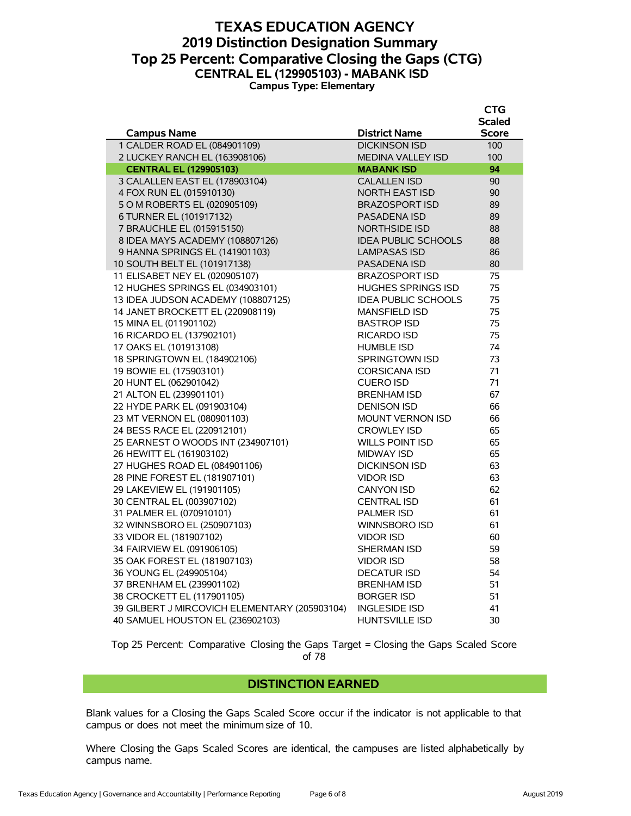#### **TEXAS EDUCATION AGENCY 2019 Distinction Designation Summary Top 25 Percent: Comparative Closing the Gaps (CTG) CENTRAL EL (129905103) - MABANK ISD Campus Type: Elementary**

|                                               |                            | <b>CTG</b>    |
|-----------------------------------------------|----------------------------|---------------|
|                                               |                            | <b>Scaled</b> |
| <b>Campus Name</b>                            | <b>District Name</b>       | <b>Score</b>  |
| 1 CALDER ROAD EL (084901109)                  | <b>DICKINSON ISD</b>       | 100           |
| 2 LUCKEY RANCH EL (163908106)                 | <b>MEDINA VALLEY ISD</b>   | 100           |
| <b>CENTRAL EL (129905103)</b>                 | <b>MABANK ISD</b>          | 94            |
| 3 CALALLEN EAST EL (178903104)                | <b>CALALLEN ISD</b>        | 90            |
| 4 FOX RUN EL (015910130)                      | <b>NORTH EAST ISD</b>      | 90            |
| 5 O M ROBERTS EL (020905109)                  | <b>BRAZOSPORT ISD</b>      | 89            |
| 6 TURNER EL (101917132)                       | <b>PASADENA ISD</b>        | 89            |
| 7 BRAUCHLE EL (015915150)                     | <b>NORTHSIDE ISD</b>       | 88            |
| 8 IDEA MAYS ACADEMY (108807126)               | <b>IDEA PUBLIC SCHOOLS</b> | 88            |
| 9 HANNA SPRINGS EL (141901103)                | <b>LAMPASAS ISD</b>        | 86            |
| 10 SOUTH BELT EL (101917138)                  | <b>PASADENA ISD</b>        | 80            |
| 11 ELISABET NEY EL (020905107)                | <b>BRAZOSPORT ISD</b>      | 75            |
| 12 HUGHES SPRINGS EL (034903101)              | <b>HUGHES SPRINGS ISD</b>  | 75            |
| 13 IDEA JUDSON ACADEMY (108807125)            | <b>IDEA PUBLIC SCHOOLS</b> | 75            |
| 14 JANET BROCKETT EL (220908119)              | <b>MANSFIELD ISD</b>       | 75            |
| 15 MINA EL (011901102)                        | <b>BASTROP ISD</b>         | 75            |
| 16 RICARDO EL (137902101)                     | RICARDO ISD                | 75            |
| 17 OAKS EL (101913108)                        | <b>HUMBLE ISD</b>          | 74            |
| 18 SPRINGTOWN EL (184902106)                  | <b>SPRINGTOWN ISD</b>      | 73            |
| 19 BOWIE EL (175903101)                       | <b>CORSICANA ISD</b>       | 71            |
| 20 HUNT EL (062901042)                        | <b>CUERO ISD</b>           | 71            |
| 21 ALTON EL (239901101)                       | <b>BRENHAM ISD</b>         | 67            |
| 22 HYDE PARK EL (091903104)                   | <b>DENISON ISD</b>         | 66            |
| 23 MT VERNON EL (080901103)                   | <b>MOUNT VERNON ISD</b>    | 66            |
| 24 BESS RACE EL (220912101)                   | <b>CROWLEY ISD</b>         | 65            |
| 25 EARNEST O WOODS INT (234907101)            | <b>WILLS POINT ISD</b>     | 65            |
| 26 HEWITT EL (161903102)                      | <b>MIDWAY ISD</b>          | 65            |
| 27 HUGHES ROAD EL (084901106)                 | <b>DICKINSON ISD</b>       | 63            |
| 28 PINE FOREST EL (181907101)                 | <b>VIDOR ISD</b>           | 63            |
| 29 LAKEVIEW EL (191901105)                    | <b>CANYON ISD</b>          | 62            |
| 30 CENTRAL EL (003907102)                     | <b>CENTRAL ISD</b>         | 61            |
| 31 PALMER EL (070910101)                      | <b>PALMER ISD</b>          | 61            |
| 32 WINNSBORO EL (250907103)                   | WINNSBORO ISD              | 61            |
| 33 VIDOR EL (181907102)                       | <b>VIDOR ISD</b>           | 60            |
| 34 FAIRVIEW EL (091906105)                    | SHERMAN ISD                | 59            |
| 35 OAK FOREST EL (181907103)                  | <b>VIDOR ISD</b>           | 58            |
| 36 YOUNG EL (249905104)                       | <b>DECATUR ISD</b>         | 54            |
| 37 BRENHAM EL (239901102)                     | <b>BRENHAM ISD</b>         | 51            |
| 38 CROCKETT EL (117901105)                    | <b>BORGER ISD</b>          | 51            |
| 39 GILBERT J MIRCOVICH ELEMENTARY (205903104) | <b>INGLESIDE ISD</b>       | 41            |
| 40 SAMUEL HOUSTON EL (236902103)              | <b>HUNTSVILLE ISD</b>      | 30            |

Top 25 Percent: Comparative Closing the Gaps Target = Closing the Gaps Scaled Score of 78

#### **DISTINCTION EARNED**

Blank values for a Closing the Gaps Scaled Score occur if the indicator is not applicable to that campus or does not meet the minimum size of 10.

Where Closing the Gaps Scaled Scores are identical, the campuses are listed alphabetically by campus name.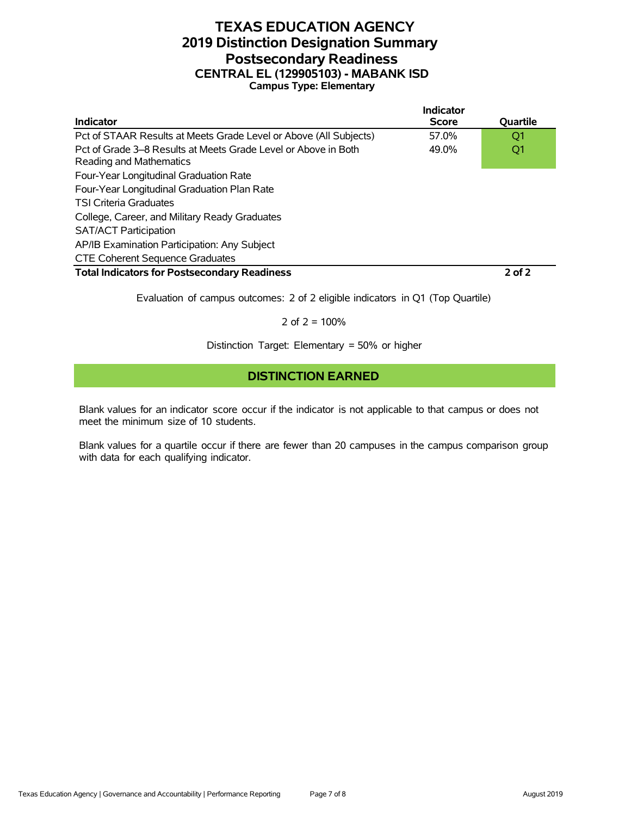#### **TEXAS EDUCATION AGENCY 2019 Distinction Designation Summary Postsecondary Readiness CENTRAL EL (129905103) - MABANK ISD Campus Type: Elementary**

|                                                                                           | Indicator    |                 |
|-------------------------------------------------------------------------------------------|--------------|-----------------|
| <b>Indicator</b>                                                                          | <b>Score</b> | <b>Ouartile</b> |
| Pct of STAAR Results at Meets Grade Level or Above (All Subjects)                         | 57.0%        | O1              |
| Pct of Grade 3–8 Results at Meets Grade Level or Above in Both<br>Reading and Mathematics | 49.0%        | Q1              |
| Four-Year Longitudinal Graduation Rate                                                    |              |                 |
| Four-Year Longitudinal Graduation Plan Rate                                               |              |                 |
| <b>TSI Criteria Graduates</b>                                                             |              |                 |
| College, Career, and Military Ready Graduates                                             |              |                 |
| <b>SAT/ACT Participation</b>                                                              |              |                 |
| AP/IB Examination Participation: Any Subject                                              |              |                 |
| <b>CTE Coherent Sequence Graduates</b>                                                    |              |                 |
| <b>Total Indicators for Postsecondary Readiness</b>                                       |              | $2$ of $2$      |

Evaluation of campus outcomes: 2 of 2 eligible indicators in Q1 (Top Quartile)

2 of  $2 = 100%$ 

Distinction Target: Elementary = 50% or higher

#### **DISTINCTION EARNED**

Blank values for an indicator score occur if the indicator is not applicable to that campus or does not meet the minimum size of 10 students.

Blank values for a quartile occur if there are fewer than 20 campuses in the campus comparison group with data for each qualifying indicator.